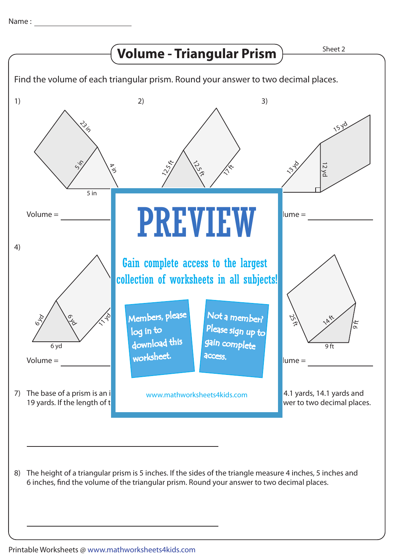